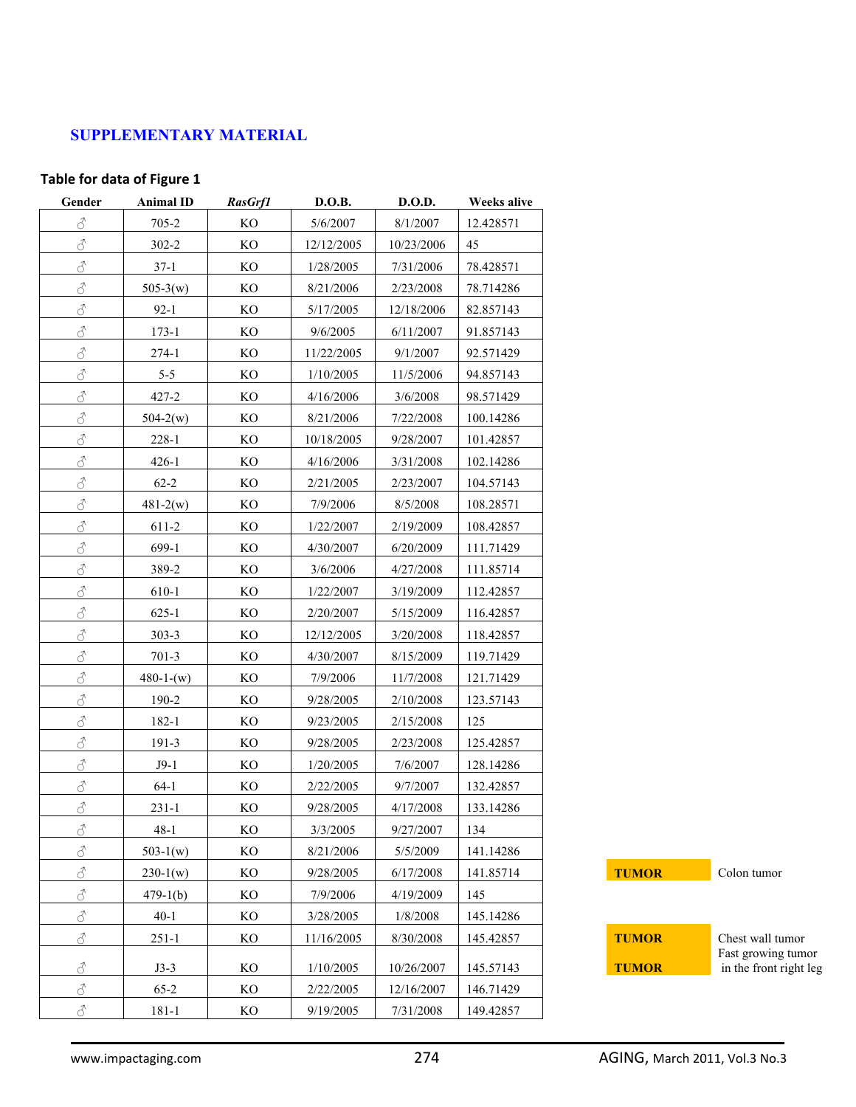# **SUPPLEMENTARY MATERIAL**

### **Table for data of Figure 1**

| Gender              | <b>Animal ID</b> | RasGrf1  | D.O.B.     | D.O.D.     | Weeks alive |              |                                |
|---------------------|------------------|----------|------------|------------|-------------|--------------|--------------------------------|
| $\vec{\mathcal{C}}$ | 705-2            | KO       | 5/6/2007   | 8/1/2007   | 12.428571   |              |                                |
| 8                   | $302 - 2$        | KO       | 12/12/2005 | 10/23/2006 | 45          |              |                                |
| $\vec{\mathcal{S}}$ | $37-1$           | KO       | 1/28/2005  | 7/31/2006  | 78.428571   |              |                                |
| 8                   | $505-3(w)$       | KО       | 8/21/2006  | 2/23/2008  | 78.714286   |              |                                |
| 8                   | $92-1$           | KO       | 5/17/2005  | 12/18/2006 | 82.857143   |              |                                |
| 8                   | 173-1            | KO       | 9/6/2005   | 6/11/2007  | 91.857143   |              |                                |
| 8                   | 274-1            | KO       | 11/22/2005 | 9/1/2007   | 92.571429   |              |                                |
| $\vec{\mathcal{S}}$ | $5 - 5$          | KO       | 1/10/2005  | 11/5/2006  | 94.857143   |              |                                |
| $\vec{\mathcal{S}}$ | $427 - 2$        | KO       | 4/16/2006  | 3/6/2008   | 98.571429   |              |                                |
| $\vec{\mathcal{S}}$ | $504 - 2(w)$     | KO       | 8/21/2006  | 7/22/2008  | 100.14286   |              |                                |
| 8                   | $228-1$          | KО       | 10/18/2005 | 9/28/2007  | 101.42857   |              |                                |
| 8                   | $426-1$          | KO       | 4/16/2006  | 3/31/2008  | 102.14286   |              |                                |
| 8                   | $62 - 2$         | KO       | 2/21/2005  | 2/23/2007  | 104.57143   |              |                                |
| 8                   | $481 - 2(w)$     | KO       | 7/9/2006   | 8/5/2008   | 108.28571   |              |                                |
| $\vec{\mathcal{S}}$ | $611 - 2$        | KO       | 1/22/2007  | 2/19/2009  | 108.42857   |              |                                |
| 8                   | 699-1            | KО       | 4/30/2007  | 6/20/2009  | 111.71429   |              |                                |
| 8                   | 389-2            | KO       | 3/6/2006   | 4/27/2008  | 111.85714   |              |                                |
| 8                   | 610-1            | KO       | 1/22/2007  | 3/19/2009  | 112.42857   |              |                                |
| 8                   | $625 - 1$        | KO       | 2/20/2007  | 5/15/2009  | 116.42857   |              |                                |
| ♂                   | $303 - 3$        | KO       | 12/12/2005 | 3/20/2008  | 118.42857   |              |                                |
| $\vec{\mathcal{S}}$ | $701-3$          | KO       | 4/30/2007  | 8/15/2009  | 119.71429   |              |                                |
| $\vec{\mathcal{S}}$ | $480-1-(w)$      | KO       | 7/9/2006   | 11/7/2008  | 121.71429   |              |                                |
| 8                   | $190 - 2$        | KО       | 9/28/2005  | 2/10/2008  | 123.57143   |              |                                |
| ♂                   | 182-1            | KO       | 9/23/2005  | 2/15/2008  | 125         |              |                                |
| $\vec{\mathcal{S}}$ | 191-3            | KO       | 9/28/2005  | 2/23/2008  | 125.42857   |              |                                |
| $\vec{\mathcal{S}}$ | $J9-1$           | KO       | 1/20/2005  | 7/6/2007   | 128.14286   |              |                                |
| $\vec{\mathcal{C}}$ | $64-1$           | KO       | 2/22/2005  | 9/7/2007   | 132.42857   |              |                                |
| $\vec{\mathcal{S}}$ | $231-1$          | KО       | 9/28/2005  | 4/17/2008  | 133.14286   |              |                                |
| $\vec{\mathcal{S}}$ | $48 - 1$         | KO       | 3/3/2005   | 9/27/2007  | 134         |              |                                |
| $\vec{\mathcal{S}}$ | $503-1(w)$       | $\rm KO$ | 8/21/2006  | 5/5/2009   | 141.14286   |              |                                |
| $\vec{\mathcal{S}}$ | $230-1(w)$       | KO       | 9/28/2005  | 6/17/2008  | 141.85714   | <b>TUMOR</b> | Colon tumor                    |
| $\vec{\mathcal{S}}$ | $479-1(b)$       | KO       | 7/9/2006   | 4/19/2009  | 145         |              |                                |
| $\vec{\mathcal{C}}$ | $40 - 1$         | KO       | 3/28/2005  | 1/8/2008   | 145.14286   |              |                                |
| $\vec{\mathcal{S}}$ | $251 - 1$        | KO       | 11/16/2005 | 8/30/2008  | 145.42857   | <b>TUMOR</b> | Chest wall tu                  |
| 8                   | $J3-3$           | KO       | 1/10/2005  | 10/26/2007 | 145.57143   | <b>TUMOR</b> | Fast growing<br>in the front r |
| $\mathcal{L}$       | $65 - 2$         | $\rm KO$ | 2/22/2005  | 12/16/2007 | 146.71429   |              |                                |
| $\vec{\mathcal{S}}$ | $181 - 1$        | KO       | 9/19/2005  | 7/31/2008  | 149.42857   |              |                                |

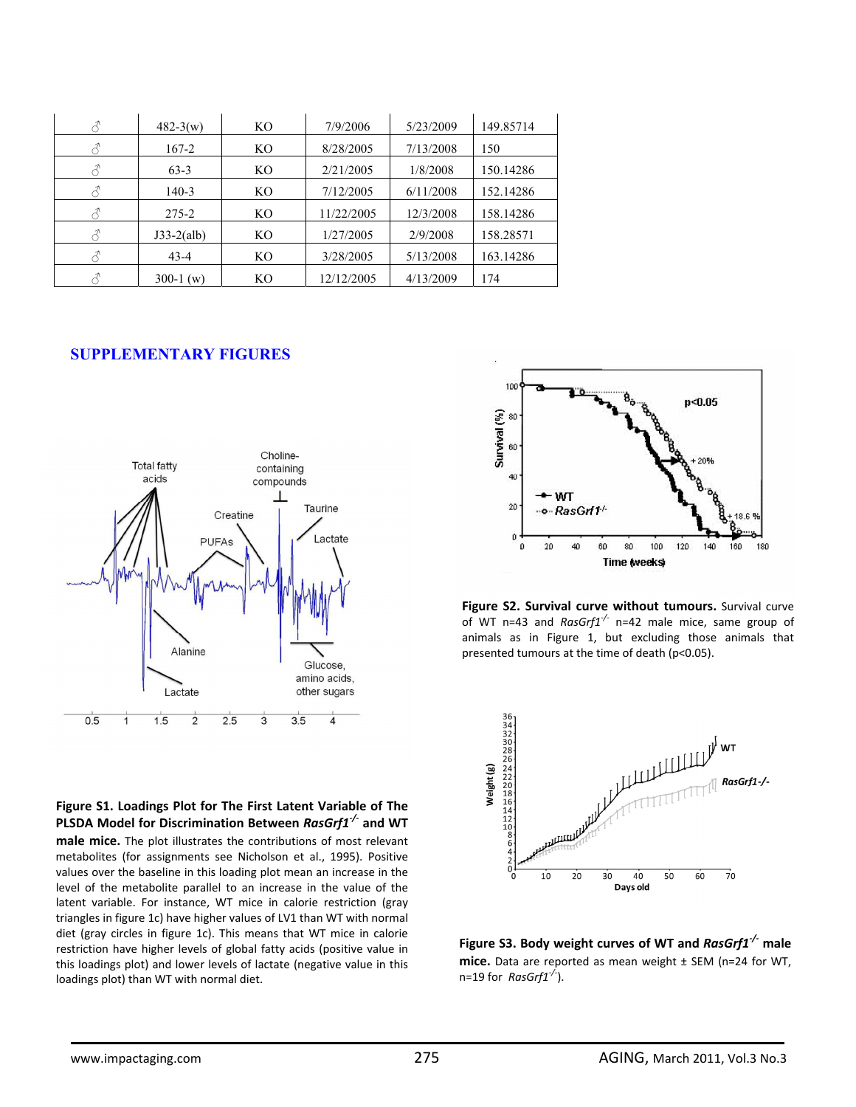| ♂ | $482 - 3(w)$ | KO             | 7/9/2006   | 5/23/2009 | 149.85714 |
|---|--------------|----------------|------------|-----------|-----------|
| 1 | $167 - 2$    | KO             | 8/28/2005  | 7/13/2008 | 150       |
| ₹ | $63-3$       | KO             | 2/21/2005  | 1/8/2008  | 150.14286 |
| ♂ | $140-3$      | KO             | 7/12/2005  | 6/11/2008 | 152.14286 |
| 1 | $275 - 2$    | KO             | 11/22/2005 | 12/3/2008 | 158.14286 |
| Â | $J33-2(alb)$ | KO             | 1/27/2005  | 2/9/2008  | 158.28571 |
| ₹ | $43 - 4$     | KO             | 3/28/2005  | 5/13/2008 | 163.14286 |
| Л | $300-1$ (w)  | K <sub>O</sub> | 12/12/2005 | 4/13/2009 | 174       |

## **SUPPLEMENTARY FIGURES**



**Figure S1. Loadings Plot for The First Latent Variable of The PLSDA Model for Discrimination Between** *RasGrf1‐/‐* **and WT male mice.** The plot illustrates the contributions of most relevant metabolites (for assignments see Nicholson et al., 1995). Positive values over the baseline in this loading plot mean an increase in the level of the metabolite parallel to an increase in the value of the latent variable. For instance, WT mice in calorie restriction (gray triangles in figure 1c) have higher values of LV1 than WT with normal diet (gray circles in figure 1c). This means that WT mice in calorie restriction have higher levels of global fatty acids (positive value in this loadings plot) and lower levels of lactate (negative value in this loadings plot) than WT with normal diet.



**Figure S2. Survival curve without tumours.** Survival curve of WT n=43 and *RasGrf1‐/‐* n=42 male mice, same group of animals as in Figure 1, but excluding those animals that presented tumours at the time of death (p<0.05).



**Figure S3. Body weight curves of WT and** *RasGrf1‐/‐* **male mice.** Data are reported as mean weight ± SEM (n=24 for WT, n=19 for *RasGrf1‐/‐* ).